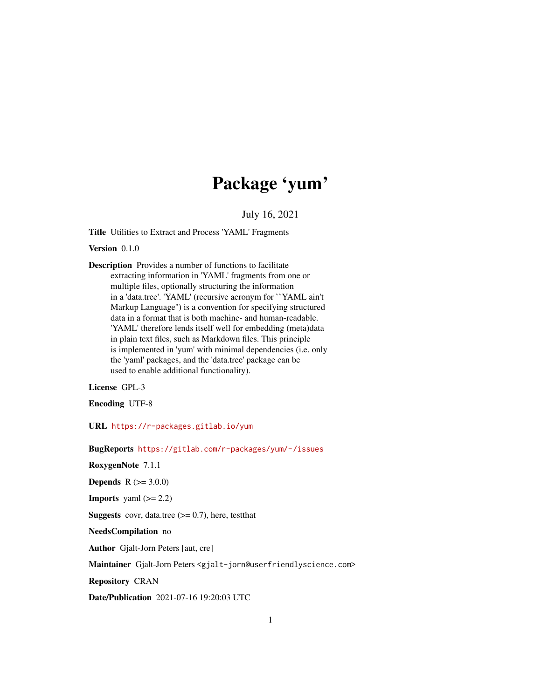# Package 'yum'

July 16, 2021

<span id="page-0-0"></span>Title Utilities to Extract and Process 'YAML' Fragments

Version 0.1.0

Description Provides a number of functions to facilitate extracting information in 'YAML' fragments from one or multiple files, optionally structuring the information in a 'data.tree'. 'YAML' (recursive acronym for ``YAML ain't Markup Language'') is a convention for specifying structured data in a format that is both machine- and human-readable. 'YAML' therefore lends itself well for embedding (meta)data in plain text files, such as Markdown files. This principle is implemented in 'yum' with minimal dependencies (i.e. only the 'yaml' packages, and the 'data.tree' package can be used to enable additional functionality).

License GPL-3

Encoding UTF-8

URL <https://r-packages.gitlab.io/yum>

BugReports <https://gitlab.com/r-packages/yum/-/issues>

RoxygenNote 7.1.1

**Depends**  $R (= 3.0.0)$ 

**Imports** yaml  $(>= 2.2)$ 

**Suggests** covr, data.tree  $(>= 0.7)$ , here, testthat

NeedsCompilation no

Author Gjalt-Jorn Peters [aut, cre]

Maintainer Gjalt-Jorn Peters <gjalt-jorn@userfriendlyscience.com>

Repository CRAN

Date/Publication 2021-07-16 19:20:03 UTC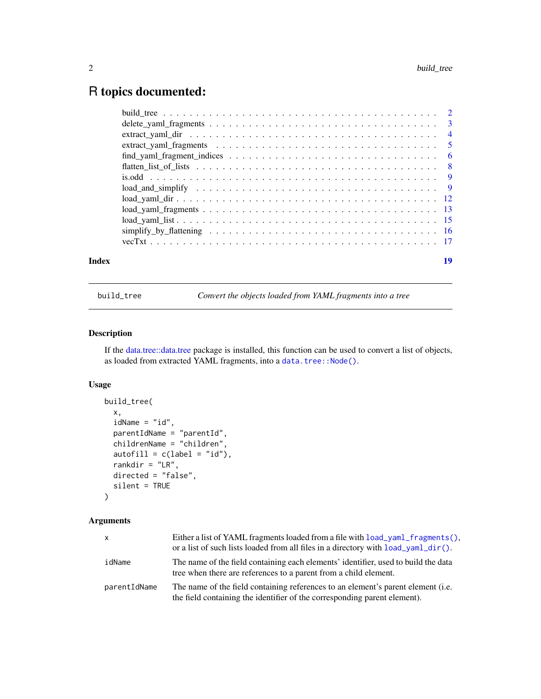# <span id="page-1-0"></span>R topics documented:

| Index |                                                                                                                               | 19 |
|-------|-------------------------------------------------------------------------------------------------------------------------------|----|
|       |                                                                                                                               |    |
|       |                                                                                                                               |    |
|       |                                                                                                                               |    |
|       | $load\_yaml\_fragments \dots \dots \dots \dots \dots \dots \dots \dots \dots \dots \dots \dots \dots \dots \dots \dots \dots$ |    |
|       |                                                                                                                               |    |
|       | $load\_and\_simplify \ldots \ldots \ldots \ldots \ldots \ldots \ldots \ldots \ldots \ldots \ldots$                            |    |
|       |                                                                                                                               |    |
|       |                                                                                                                               |    |
|       | $find\_yam\_fragment\_indices \dots \dots \dots \dots \dots \dots \dots \dots \dots \dots \dots \dots \dots$                  |    |
|       |                                                                                                                               |    |
|       |                                                                                                                               |    |
|       |                                                                                                                               |    |
|       |                                                                                                                               |    |

build\_tree *Convert the objects loaded from YAML fragments into a tree*

#### Description

If the [data.tree::data.tree](#page-0-0) package is installed, this function can be used to convert a list of objects, as loaded from extracted YAML fragments, into a [data.tree::Node\(\)](#page-0-0).

#### Usage

```
build_tree(
  x,
  idName = "id",
  parentIdName = "parentId",
  childrenName = "children",
  {\sf autofill} = {\sf c}({\sf label} = "id"),rankdir = "LR",
  directed = "false",
  silent = TRUE
\mathcal{L}
```
# Arguments

| X.           | Either a list of YAML fragments loaded from a file with $load$ vaml $fragnents()$ .<br>or a list of such lists loaded from all files in a directory with load_yaml_dir(). |
|--------------|---------------------------------------------------------------------------------------------------------------------------------------------------------------------------|
| idName       | The name of the field containing each elements' identifier, used to build the data<br>tree when there are references to a parent from a child element.                    |
| parentIdName | The name of the field containing references to an element's parent element (i.e.<br>the field containing the identifier of the corresponding parent element).             |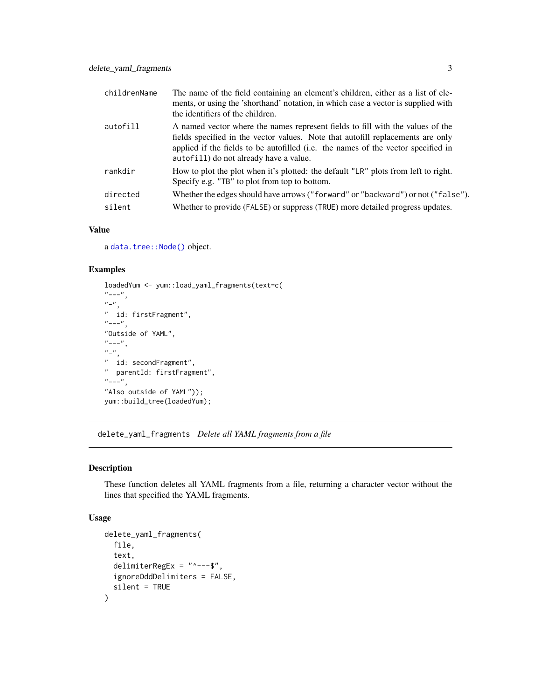<span id="page-2-0"></span>

| childrenName | The name of the field containing an element's children, either as a list of ele-<br>ments, or using the 'shorthand' notation, in which case a vector is supplied with<br>the identifiers of the children.                                                                                        |
|--------------|--------------------------------------------------------------------------------------------------------------------------------------------------------------------------------------------------------------------------------------------------------------------------------------------------|
| autofill     | A named vector where the names represent fields to fill with the values of the<br>fields specified in the vector values. Note that autofill replacements are only<br>applied if the fields to be autofilled (i.e. the names of the vector specified in<br>autofill) do not already have a value. |
| rankdir      | How to plot the plot when it's plotted: the default "LR" plots from left to right.<br>Specify e.g. "TB" to plot from top to bottom.                                                                                                                                                              |
| directed     | Whether the edges should have arrows ("forward" or "backward") or not ("false").                                                                                                                                                                                                                 |
| silent       | Whether to provide (FALSE) or suppress (TRUE) more detailed progress updates.                                                                                                                                                                                                                    |

#### Value

a [data.tree::Node\(\)](#page-0-0) object.

#### Examples

```
loadedYum <- yum::load_yaml_fragments(text=c(
\sum_{n=-+n}^{\infty}"-",
" id: firstFragment",
"---",
"Outside of YAML",
"---",
"-",
" id: secondFragment",
" parentId: firstFragment",
"---",
"Also outside of YAML"));
yum::build_tree(loadedYum);
```
delete\_yaml\_fragments *Delete all YAML fragments from a file*

#### Description

These function deletes all YAML fragments from a file, returning a character vector without the lines that specified the YAML fragments.

```
delete_yaml_fragments(
  file,
  text,
  delimiterRegEx = "^---$",
  ignoreOddDelimiters = FALSE,
  silent = TRUE
)
```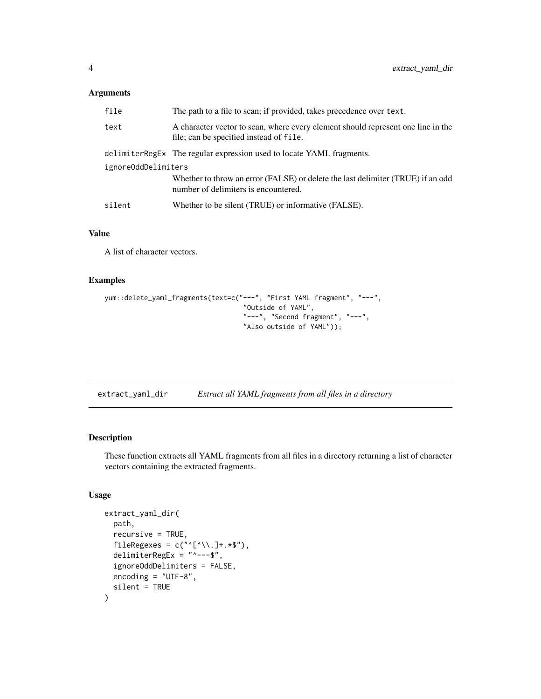#### <span id="page-3-0"></span>Arguments

| file                | The path to a file to scan; if provided, takes precedence over text.                                                        |
|---------------------|-----------------------------------------------------------------------------------------------------------------------------|
| text                | A character vector to scan, where every element should represent one line in the<br>file; can be specified instead of file. |
|                     | delimiterRegEx The regular expression used to locate YAML fragments.                                                        |
| ignoreOddDelimiters |                                                                                                                             |
|                     | Whether to throw an error (FALSE) or delete the last delimiter (TRUE) if an odd<br>number of delimiters is encountered.     |
| silent              | Whether to be silent (TRUE) or informative (FALSE).                                                                         |

#### Value

A list of character vectors.

#### Examples

```
yum::delete_yaml_fragments(text=c("---", "First YAML fragment", "---",
                                   "Outside of YAML",
                                   "---", "Second fragment", "---",
                                   "Also outside of YAML"));
```

| extract_yaml_dir | Extract all YAML fragments from all files in a directory |  |  |  |
|------------------|----------------------------------------------------------|--|--|--|
|------------------|----------------------------------------------------------|--|--|--|

#### Description

These function extracts all YAML fragments from all files in a directory returning a list of character vectors containing the extracted fragments.

```
extract_yaml_dir(
  path,
  recursive = TRUE,
  fileRegexes = c("^{\wedge}[\wedge \backslash \cdot]+.*$"),
  delimiterRegEx = "^---$",
  ignoreOddDelimiters = FALSE,
  encoding = "UTF-8",
  silent = TRUE
)
```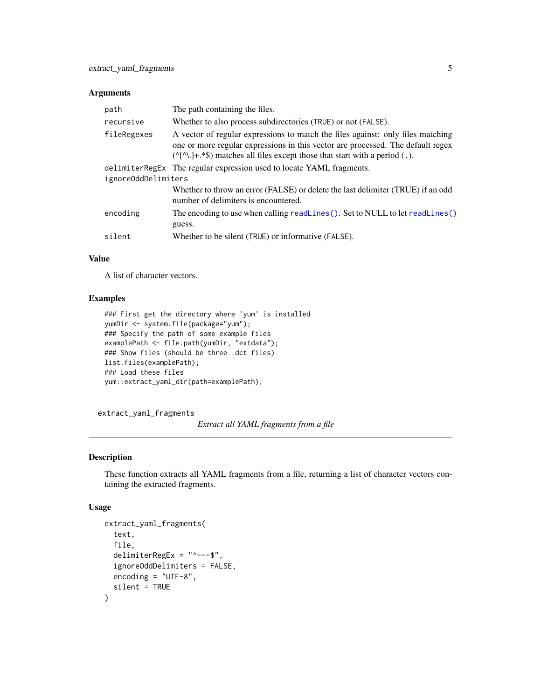#### <span id="page-4-0"></span>Arguments

| path                | The path containing the files.                                                                                                                                                                                                                               |  |
|---------------------|--------------------------------------------------------------------------------------------------------------------------------------------------------------------------------------------------------------------------------------------------------------|--|
| recursive           | Whether to also process subdirectories (TRUE) or not (FALSE).                                                                                                                                                                                                |  |
| fileRegexes         | A vector of regular expressions to match the files against: only files matching<br>one or more regular expressions in this vector are processed. The default regex<br>$(\sqrt{\wedge}$ .]+.*\$) matches all files except those that start with a period (.). |  |
|                     | delimiterRegEx The regular expression used to locate YAML fragments.                                                                                                                                                                                         |  |
| ignoreOddDelimiters |                                                                                                                                                                                                                                                              |  |
|                     | Whether to throw an error (FALSE) or delete the last delimiter (TRUE) if an odd<br>number of delimiters is encountered.                                                                                                                                      |  |
| encoding            | The encoding to use when calling readLines (). Set to NULL to let readLines ()<br>guess.                                                                                                                                                                     |  |
| silent              | Whether to be silent (TRUE) or informative (FALSE).                                                                                                                                                                                                          |  |

#### Value

A list of character vectors.

#### Examples

```
### First get the directory where 'yum' is installed
yumDir <- system.file(package="yum");
### Specify the path of some example files
examplePath <- file.path(yumDir, "extdata");
### Show files (should be three .dct files)
list.files(examplePath);
### Load these files
yum::extract_yaml_dir(path=examplePath);
```
extract\_yaml\_fragments

*Extract all YAML fragments from a file*

#### Description

These function extracts all YAML fragments from a file, returning a list of character vectors containing the extracted fragments.

```
extract_yaml_fragments(
  text,
  file,
  delimiterRegEx = "^---$",
  ignoreOddDelimiters = FALSE,
  encoding = "UTF-8",
  silent = TRUE
)
```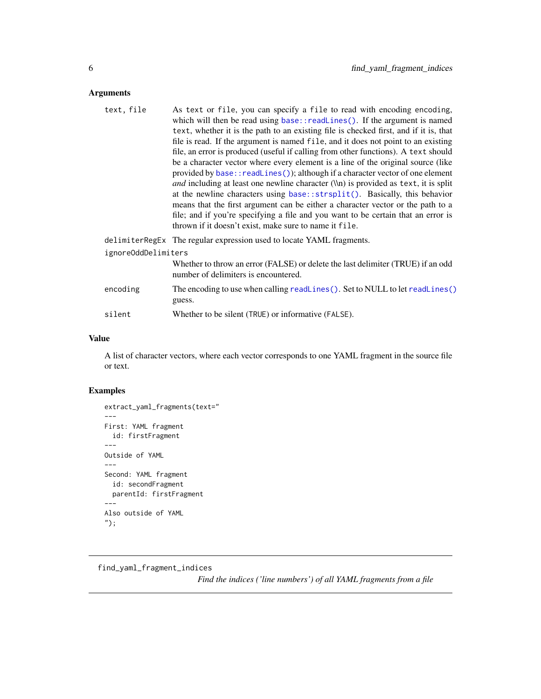#### <span id="page-5-0"></span>Arguments

| text, file          | As text or file, you can specify a file to read with encoding encoding,                                                 |
|---------------------|-------------------------------------------------------------------------------------------------------------------------|
|                     | which will then be read using base:: readLines(). If the argument is named                                              |
|                     | text, whether it is the path to an existing file is checked first, and if it is, that                                   |
|                     | file is read. If the argument is named file, and it does not point to an existing                                       |
|                     | file, an error is produced (useful if calling from other functions). A text should                                      |
|                     | be a character vector where every element is a line of the original source (like                                        |
|                     | provided by base:: readLines()); although if a character vector of one element                                          |
|                     | and including at least one newline character (\\n) is provided as text, it is split                                     |
|                     | at the newline characters using base::strsplit(). Basically, this behavior                                              |
|                     | means that the first argument can be either a character vector or the path to a                                         |
|                     | file; and if you're specifying a file and you want to be certain that an error is                                       |
|                     | thrown if it doesn't exist, make sure to name it file.                                                                  |
|                     | delimiterRegEx The regular expression used to locate YAML fragments.                                                    |
| ignoreOddDelimiters |                                                                                                                         |
|                     | Whether to throw an error (FALSE) or delete the last delimiter (TRUE) if an odd<br>number of delimiters is encountered. |
| encoding            | The encoding to use when calling readLines(). Set to NULL to let readLines()<br>guess.                                  |
| silent              | Whether to be silent (TRUE) or informative (FALSE).                                                                     |
|                     |                                                                                                                         |

#### Value

A list of character vectors, where each vector corresponds to one YAML fragment in the source file or text.

### Examples

```
extract_yaml_fragments(text="
---First: YAML fragment
  id: firstFragment
---
Outside of YAML
---
Second: YAML fragment
  id: secondFragment
  parentId: firstFragment
---
Also outside of YAML
");
```
find\_yaml\_fragment\_indices

*Find the indices ('line numbers') of all YAML fragments from a file*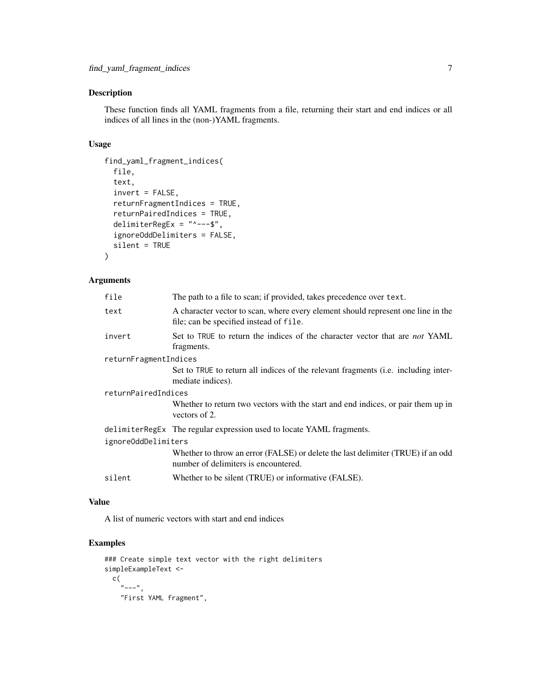#### Description

These function finds all YAML fragments from a file, returning their start and end indices or all indices of all lines in the (non-)YAML fragments.

#### Usage

```
find_yaml_fragment_indices(
  file,
  text,
  invert = FALSE,
  returnFragmentIndices = TRUE,
  returnPairedIndices = TRUE,
  delimiterRegEx = "^---$",
  ignoreOddDelimiters = FALSE,
  silent = TRUE
)
```
#### Arguments

| file                  | The path to a file to scan; if provided, takes precedence over text.                                                        |
|-----------------------|-----------------------------------------------------------------------------------------------------------------------------|
| text                  | A character vector to scan, where every element should represent one line in the<br>file; can be specified instead of file. |
| invert                | Set to TRUE to return the indices of the character vector that are <i>not</i> YAML<br>fragments.                            |
| returnFragmentIndices |                                                                                                                             |
|                       | Set to TRUE to return all indices of the relevant fragments (i.e. including inter-<br>mediate indices).                     |
| returnPairedIndices   |                                                                                                                             |
|                       | Whether to return two vectors with the start and end indices, or pair them up in<br>vectors of 2.                           |
|                       | delimiterRegEx The regular expression used to locate YAML fragments.                                                        |
| ignoreOddDelimiters   |                                                                                                                             |
|                       | Whether to throw an error (FALSE) or delete the last delimiter (TRUE) if an odd<br>number of delimiters is encountered.     |
| silent                | Whether to be silent (TRUE) or informative (FALSE).                                                                         |
|                       |                                                                                                                             |

#### Value

A list of numeric vectors with start and end indices

```
### Create simple text vector with the right delimiters
simpleExampleText <-
  c(
    "---",
   "First YAML fragment",
```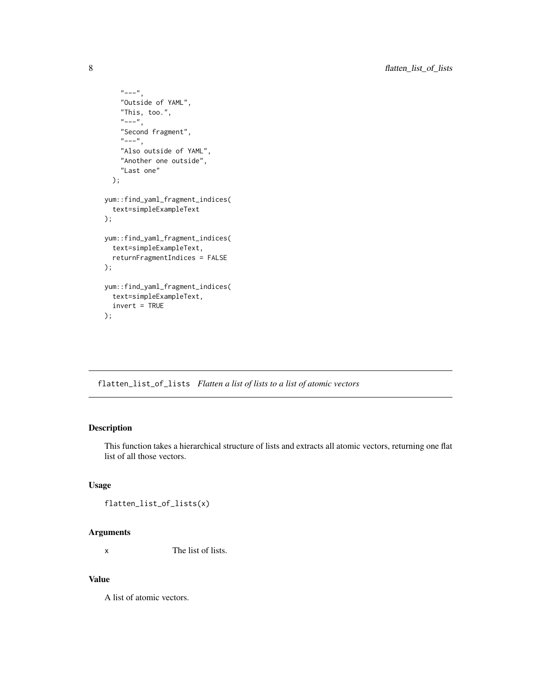```
"---",
    "Outside of YAML",
    "This, too.",
    "---",
    "Second fragment",
    "---",
    "Also outside of YAML",
    "Another one outside",
    "Last one"
  );
yum::find_yaml_fragment_indices(
  text=simpleExampleText
);
yum::find_yaml_fragment_indices(
  text=simpleExampleText,
  returnFragmentIndices = FALSE
);
yum::find_yaml_fragment_indices(
  text=simpleExampleText,
  invert = TRUE
);
```
flatten\_list\_of\_lists *Flatten a list of lists to a list of atomic vectors*

#### Description

This function takes a hierarchical structure of lists and extracts all atomic vectors, returning one flat list of all those vectors.

#### Usage

flatten\_list\_of\_lists(x)

#### Arguments

x The list of lists.

#### Value

A list of atomic vectors.

<span id="page-7-0"></span>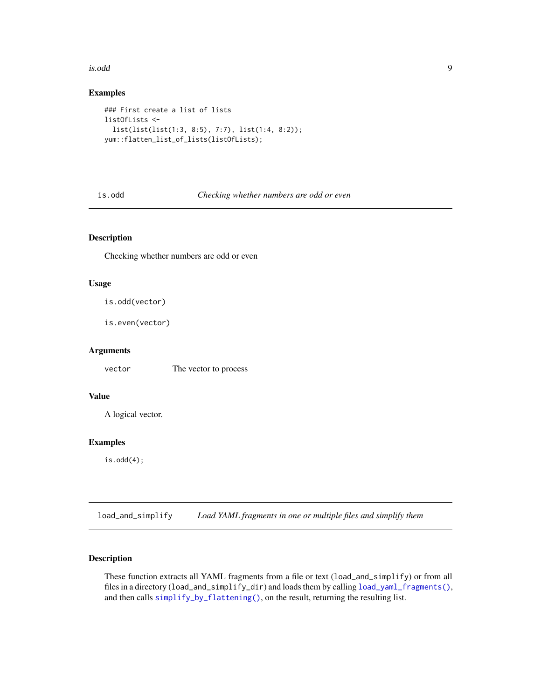#### <span id="page-8-0"></span>is.odd 9

#### Examples

```
### First create a list of lists
listOfLists <-
  list(list(list(1:3, 8:5), 7:7), list(1:4, 8:2));
yum::flatten_list_of_lists(listOfLists);
```
#### is.odd *Checking whether numbers are odd or even*

#### Description

Checking whether numbers are odd or even

#### Usage

```
is.odd(vector)
```

```
is.even(vector)
```
#### Arguments

vector The vector to process

#### Value

A logical vector.

#### Examples

is.odd(4);

load\_and\_simplify *Load YAML fragments in one or multiple files and simplify them*

#### Description

These function extracts all YAML fragments from a file or text (load\_and\_simplify) or from all files in a directory (load\_and\_simplify\_dir) and loads them by calling [load\\_yaml\\_fragments\(\)](#page-12-1), and then calls [simplify\\_by\\_flattening\(\)](#page-15-1), on the result, returning the resulting list.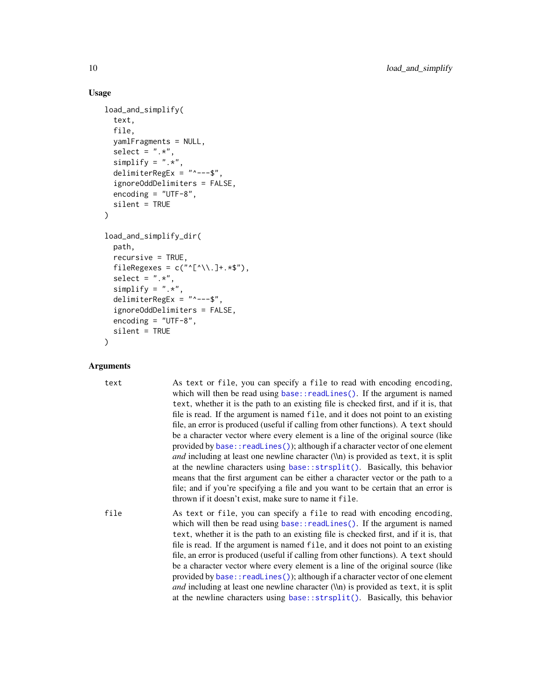#### Usage

```
load_and_simplify(
  text,
  file,
  yamlFragments = NULL,
  select = ".**"simplify = ".**",
  delimiterRegEx = "---$".
  ignoreOddDelimiters = FALSE,
  encoding = "UTE-8",silent = TRUE
)
load_and_simplify_dir(
  path,
  recursive = TRUE,
  fileRegexes = c("^{\wedge}[\wedge\backslash\cdot]+.*^{\wedge}),
  select = ".**,
  simplify = ".**",
  delimiterRegEx = "^---$",
  ignoreOddDelimiters = FALSE,
  encoding = "UTF-8",
  silent = TRUE
)
```
#### Arguments

text As text or file, you can specify a file to read with encoding encoding, which will then be read using [base::readLines\(\)](#page-0-0). If the argument is named text, whether it is the path to an existing file is checked first, and if it is, that file is read. If the argument is named file, and it does not point to an existing file, an error is produced (useful if calling from other functions). A text should be a character vector where every element is a line of the original source (like provided by base:: readLines()); although if a character vector of one element *and* including at least one newline character (\\n) is provided as text, it is split at the newline characters using [base::strsplit\(\)](#page-0-0). Basically, this behavior means that the first argument can be either a character vector or the path to a file; and if you're specifying a file and you want to be certain that an error is thrown if it doesn't exist, make sure to name it file.

file As text or file, you can specify a file to read with encoding encoding, which will then be read using [base::readLines\(\)](#page-0-0). If the argument is named text, whether it is the path to an existing file is checked first, and if it is, that file is read. If the argument is named file, and it does not point to an existing file, an error is produced (useful if calling from other functions). A text should be a character vector where every element is a line of the original source (like provided by base:: readLines()); although if a character vector of one element *and* including at least one newline character (\\n) is provided as text, it is split at the newline characters using [base::strsplit\(\)](#page-0-0). Basically, this behavior

<span id="page-9-0"></span>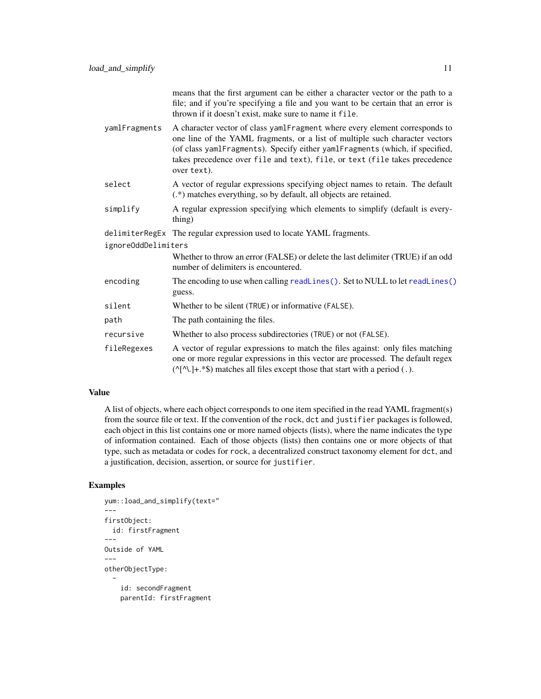means that the first argument can be either a character vector or the path to a file; and if you're specifying a file and you want to be certain that an error is thrown if it doesn't exist, make sure to name it file.

- <span id="page-10-0"></span>yamlFragments A character vector of class yamlFragment where every element corresponds to one line of the YAML fragments, or a list of multiple such character vectors (of class yamlFragments). Specify either yamlFragments (which, if specified, takes precedence over file and text), file, or text (file takes precedence over text).
- select A vector of regular expressions specifying object names to retain. The default (.\*) matches everything, so by default, all objects are retained.
- simplify A regular expression specifying which elements to simplify (default is everything)

delimiterRegEx The regular expression used to locate YAML fragments.

ignoreOddDelimiters

- Whether to throw an error (FALSE) or delete the last delimiter (TRUE) if an odd number of delimiters is encountered.
- encoding The encoding to use when calling [readLines\(\)](#page-0-0). Set to NULL to let readLines() guess.
- silent Whether to be silent (TRUE) or informative (FALSE).
- path The path containing the files.
- recursive Whether to also process subdirectories (TRUE) or not (FALSE).
- fileRegexes A vector of regular expressions to match the files against: only files matching one or more regular expressions in this vector are processed. The default regex  $(\Lambda[\Lambda].]+.*\$ ) matches all files except those that start with a period (.).

#### Value

A list of objects, where each object corresponds to one item specified in the read YAML fragment(s) from the source file or text. If the convention of the rock, dct and justifier packages is followed, each object in this list contains one or more named objects (lists), where the name indicates the type of information contained. Each of those objects (lists) then contains one or more objects of that type, such as metadata or codes for rock, a decentralized construct taxonomy element for dct, and a justification, decision, assertion, or source for justifier.

```
yum::load_and_simplify(text="
---
firstObject:
  id: firstFragment
---
Outside of YAML
---
otherObjectType:
  -
    id: secondFragment
    parentId: firstFragment
```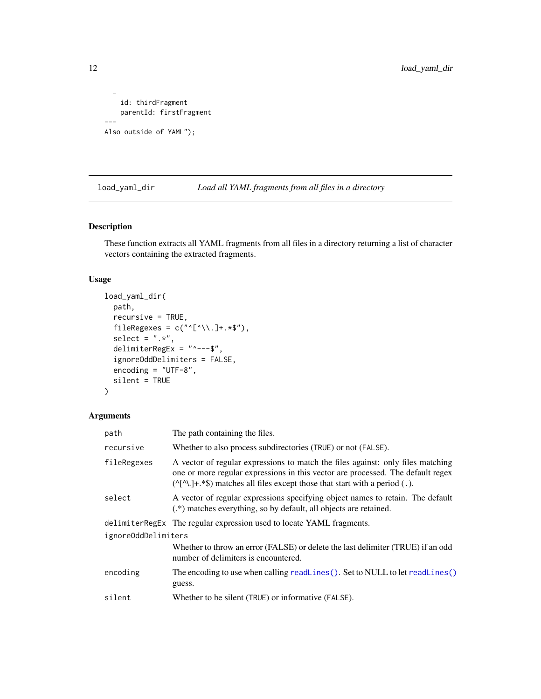```
-
    id: thirdFragment
    parentId: firstFragment
---
Also outside of YAML");
```
<span id="page-11-1"></span>load\_yaml\_dir *Load all YAML fragments from all files in a directory*

#### Description

These function extracts all YAML fragments from all files in a directory returning a list of character vectors containing the extracted fragments.

#### Usage

```
load_yaml_dir(
  path,
  recursive = TRUE,
  fileRegexes = c("^{\wedge}[\wedge \backslash \cdot]+.*$"),
  select = ".**",
  delimiterRegEx = "---$",
  ignoreOddDelimiters = FALSE,
  encoding = "UTF-8",
  silent = TRUE
)
```
#### Arguments

| The path containing the files.                                                                                                                                                                                                                               |
|--------------------------------------------------------------------------------------------------------------------------------------------------------------------------------------------------------------------------------------------------------------|
| Whether to also process subdirectories (TRUE) or not (FALSE).                                                                                                                                                                                                |
| A vector of regular expressions to match the files against: only files matching<br>one or more regular expressions in this vector are processed. The default regex<br>$(\sqrt{\wedge}$ .]+.*\$) matches all files except those that start with a period (.). |
| A vector of regular expressions specifying object names to retain. The default<br>(.*) matches everything, so by default, all objects are retained.                                                                                                          |
| delimiterRegEx The regular expression used to locate YAML fragments.                                                                                                                                                                                         |
| ignoreOddDelimiters                                                                                                                                                                                                                                          |
| Whether to throw an error (FALSE) or delete the last delimiter (TRUE) if an odd<br>number of delimiters is encountered.                                                                                                                                      |
| The encoding to use when calling readLines(). Set to NULL to let readLines()<br>guess.                                                                                                                                                                       |
| Whether to be silent (TRUE) or informative (FALSE).                                                                                                                                                                                                          |
|                                                                                                                                                                                                                                                              |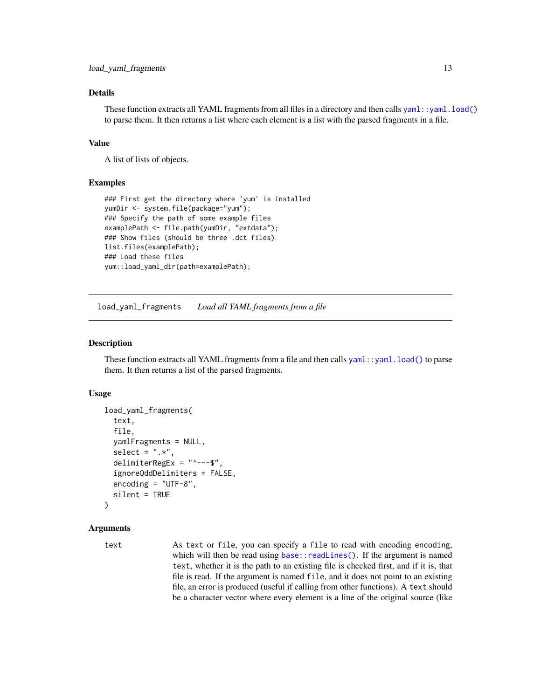#### <span id="page-12-0"></span>Details

These function extracts all YAML fragments from all files in a directory and then calls [yaml::yaml.load\(\)](#page-0-0) to parse them. It then returns a list where each element is a list with the parsed fragments in a file.

#### Value

A list of lists of objects.

#### Examples

```
### First get the directory where 'yum' is installed
yumDir <- system.file(package="yum");
### Specify the path of some example files
examplePath <- file.path(yumDir, "extdata");
### Show files (should be three .dct files)
list.files(examplePath);
### Load these files
yum::load_yaml_dir(path=examplePath);
```
<span id="page-12-1"></span>load\_yaml\_fragments *Load all YAML fragments from a file*

#### Description

These function extracts all YAML fragments from a file and then calls [yaml::yaml.load\(\)](#page-0-0) to parse them. It then returns a list of the parsed fragments.

#### Usage

```
load_yaml_fragments(
  text,
  file,
  yamlFragments = NULL,
  select = ".**",
  delimiterRegEx = "^---$",
  ignoreOddDelimiters = FALSE,
  encoding = "UTE-8",silent = TRUE
)
```
#### Arguments

text As text or file, you can specify a file to read with encoding encoding, which will then be read using [base::readLines\(\)](#page-0-0). If the argument is named text, whether it is the path to an existing file is checked first, and if it is, that file is read. If the argument is named file, and it does not point to an existing file, an error is produced (useful if calling from other functions). A text should be a character vector where every element is a line of the original source (like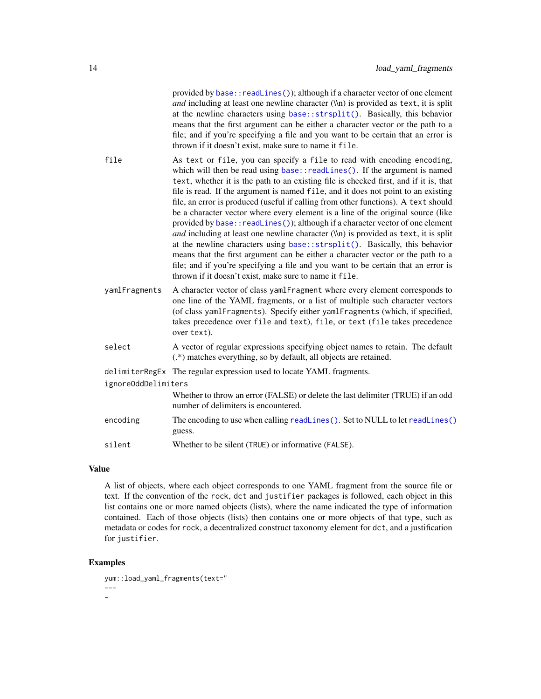<span id="page-13-0"></span>provided by base:: readLines()); although if a character vector of one element *and* including at least one newline character (\\n) is provided as text, it is split at the newline characters using [base::strsplit\(\)](#page-0-0). Basically, this behavior means that the first argument can be either a character vector or the path to a file; and if you're specifying a file and you want to be certain that an error is thrown if it doesn't exist, make sure to name it file.

- file As text or file, you can specify a file to read with encoding encoding, which will then be read using base:: readLines(). If the argument is named text, whether it is the path to an existing file is checked first, and if it is, that file is read. If the argument is named file, and it does not point to an existing file, an error is produced (useful if calling from other functions). A text should be a character vector where every element is a line of the original source (like provided by base:: readLines()); although if a character vector of one element *and* including at least one newline character (\\n) is provided as text, it is split at the newline characters using [base::strsplit\(\)](#page-0-0). Basically, this behavior means that the first argument can be either a character vector or the path to a file; and if you're specifying a file and you want to be certain that an error is thrown if it doesn't exist, make sure to name it file.
- yamlFragments A character vector of class yamlFragment where every element corresponds to one line of the YAML fragments, or a list of multiple such character vectors (of class yamlFragments). Specify either yamlFragments (which, if specified, takes precedence over file and text), file, or text (file takes precedence over text).
- select A vector of regular expressions specifying object names to retain. The default (.\*) matches everything, so by default, all objects are retained.

```
delimiterRegEx The regular expression used to locate YAML fragments.
```
ignoreOddDelimiters

Whether to throw an error (FALSE) or delete the last delimiter (TRUE) if an odd number of delimiters is encountered.

encoding The encoding to use when calling [readLines\(\)](#page-0-0). Set to NULL to let readLines() guess.

#### Value

A list of objects, where each object corresponds to one YAML fragment from the source file or text. If the convention of the rock, dct and justifier packages is followed, each object in this list contains one or more named objects (lists), where the name indicated the type of information contained. Each of those objects (lists) then contains one or more objects of that type, such as metadata or codes for rock, a decentralized construct taxonomy element for dct, and a justification for justifier.

```
yum::load_yaml_fragments(text="
---
-
```
silent Whether to be silent (TRUE) or informative (FALSE).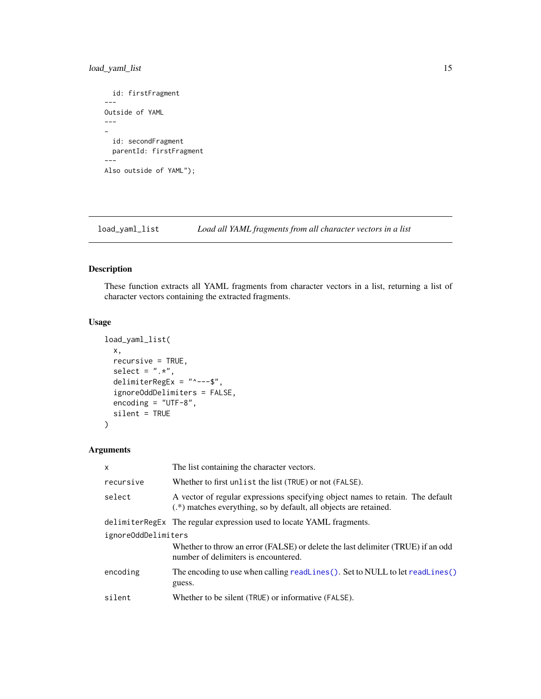#### <span id="page-14-0"></span>load\_yaml\_list 15

```
id: firstFragment
---
Outside of YAML
---
-
  id: secondFragment
 parentId: firstFragment
---
Also outside of YAML");
```
load\_yaml\_list *Load all YAML fragments from all character vectors in a list*

#### Description

These function extracts all YAML fragments from character vectors in a list, returning a list of character vectors containing the extracted fragments.

#### Usage

```
load_yaml_list(
 x,
 recursive = TRUE,
  select = ".*",delimiterRegEx = "^---$",
  ignoreOddDelimiters = FALSE,
  encoding = "UTF-8",
  silent = TRUE
)
```
### Arguments

| X                   | The list containing the character vectors.                                                                                                          |
|---------------------|-----------------------------------------------------------------------------------------------------------------------------------------------------|
| recursive           | Whether to first unlist the list (TRUE) or not (FALSE).                                                                                             |
| select              | A vector of regular expressions specifying object names to retain. The default<br>(.*) matches everything, so by default, all objects are retained. |
|                     | delimiterRegEx The regular expression used to locate YAML fragments.                                                                                |
| ignoreOddDelimiters |                                                                                                                                                     |
|                     | Whether to throw an error (FALSE) or delete the last delimiter (TRUE) if an odd<br>number of delimiters is encountered.                             |
| encoding            | The encoding to use when calling readLines(). Set to NULL to let readLines()<br>guess.                                                              |
| silent              | Whether to be silent (TRUE) or informative (FALSE).                                                                                                 |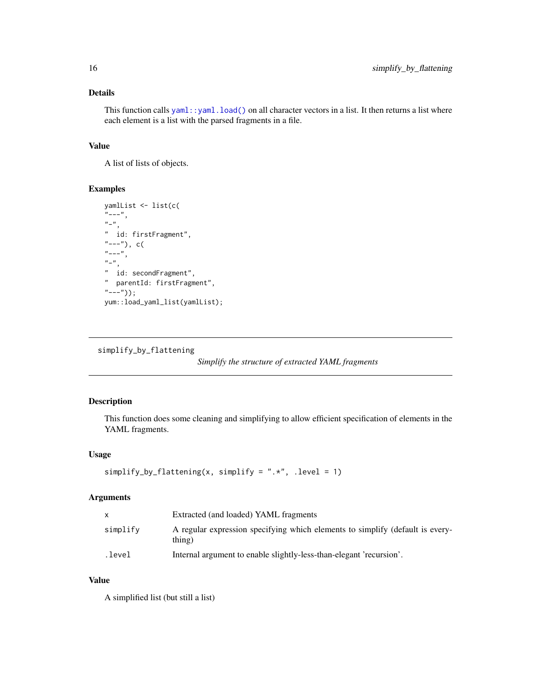#### Details

This function calls  $\text{yaml}: \text{yaml}.load()$  on all character vectors in a list. It then returns a list where each element is a list with the parsed fragments in a file.

#### Value

A list of lists of objects.

#### Examples

```
yamlList <- list(c(
"---",
"-",
" id: firstFragment",
"---"), c(
"---",
n \perp n" id: secondFragment",
" parentId: firstFragment",
"---"));
yum::load_yaml_list(yamlList);
```
<span id="page-15-1"></span>simplify\_by\_flattening

*Simplify the structure of extracted YAML fragments*

#### Description

This function does some cleaning and simplifying to allow efficient specification of elements in the YAML fragments.

#### Usage

```
simplify_by_flattening(x, simplify = ".*", .level = 1)
```
#### Arguments

|          | Extracted (and loaded) YAML fragments                                                   |
|----------|-----------------------------------------------------------------------------------------|
| simplify | A regular expression specifying which elements to simplify (default is every-<br>thing) |
| .level.  | Internal argument to enable slightly-less-than-elegant 'recursion'.                     |

#### Value

A simplified list (but still a list)

<span id="page-15-0"></span>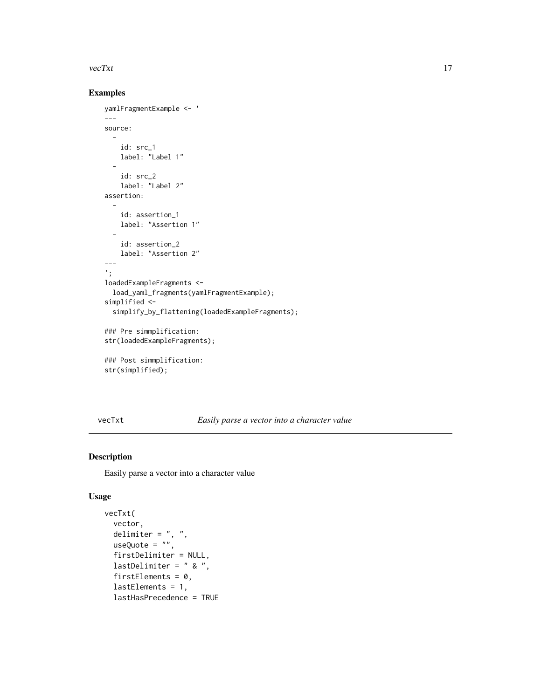#### <span id="page-16-0"></span> $\text{vec}$ Xt  $\frac{17}{2}$

#### Examples

```
yamlFragmentExample <- '
---source:
  -
    id: src_1
    label: "Label 1"
  -
    id: src_2
    label: "Label 2"
assertion:
  -
    id: assertion_1
    label: "Assertion 1"
  -
    id: assertion_2
    label: "Assertion 2"
---
';
loadedExampleFragments <-
  load_yaml_fragments(yamlFragmentExample);
simplified <-
  simplify_by_flattening(loadedExampleFragments);
### Pre simmplification:
str(loadedExampleFragments);
### Post simmplification:
```

```
str(simplified);
```
vecTxt *Easily parse a vector into a character value*

#### Description

Easily parse a vector into a character value

```
vecTxt(
  vector,
 delimiter = ", "useQuote = ",
 firstDelimiter = NULL,
  lastDelimiter = " & ",
  firstElements = 0,
 lastElements = 1,
  lastHasPrecedence = TRUE
```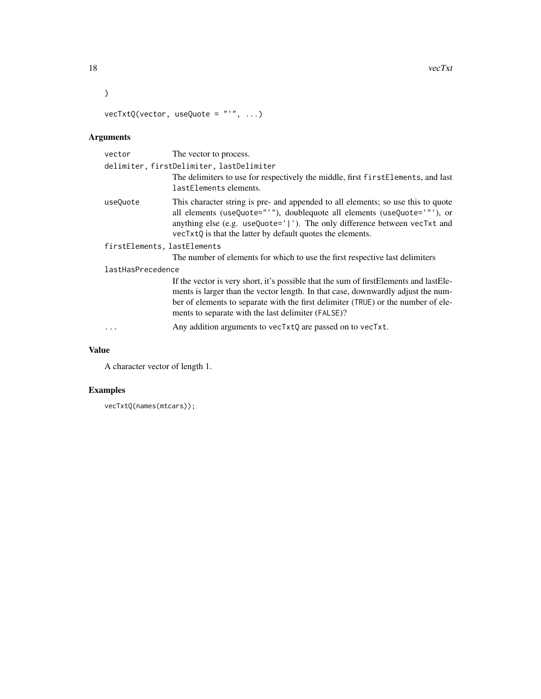18 vecTxt

```
\lambda
```
vecTxtQ(vector, useQuote = "'", ...)

# Arguments

| vector                                   | The vector to process.                                                                                                                                                                                                                                                                                               |  |
|------------------------------------------|----------------------------------------------------------------------------------------------------------------------------------------------------------------------------------------------------------------------------------------------------------------------------------------------------------------------|--|
| delimiter, firstDelimiter, lastDelimiter |                                                                                                                                                                                                                                                                                                                      |  |
|                                          | The delimiters to use for respectively the middle, first first Elements, and last<br>lastElements elements.                                                                                                                                                                                                          |  |
| useQuote                                 | This character string is pre- and appended to all elements; so use this to quote<br>all elements (useQuote="'"), doublequote all elements (useQuote='"'), or<br>anything else (e.g. useQuote=' '). The only difference between vecTxt and<br>vecTxtQ is that the latter by default quotes the elements.              |  |
| firstElements, lastElements              |                                                                                                                                                                                                                                                                                                                      |  |
|                                          | The number of elements for which to use the first respective last delimiters                                                                                                                                                                                                                                         |  |
| lastHasPrecedence                        |                                                                                                                                                                                                                                                                                                                      |  |
|                                          | If the vector is very short, it's possible that the sum of firstElements and lastEle-<br>ments is larger than the vector length. In that case, downwardly adjust the num-<br>ber of elements to separate with the first delimiter (TRUE) or the number of ele-<br>ments to separate with the last delimiter (FALSE)? |  |
| .                                        | Any addition arguments to vecTxtQ are passed on to vecTxt.                                                                                                                                                                                                                                                           |  |

### Value

A character vector of length 1.

```
vecTxtQ(names(mtcars));
```